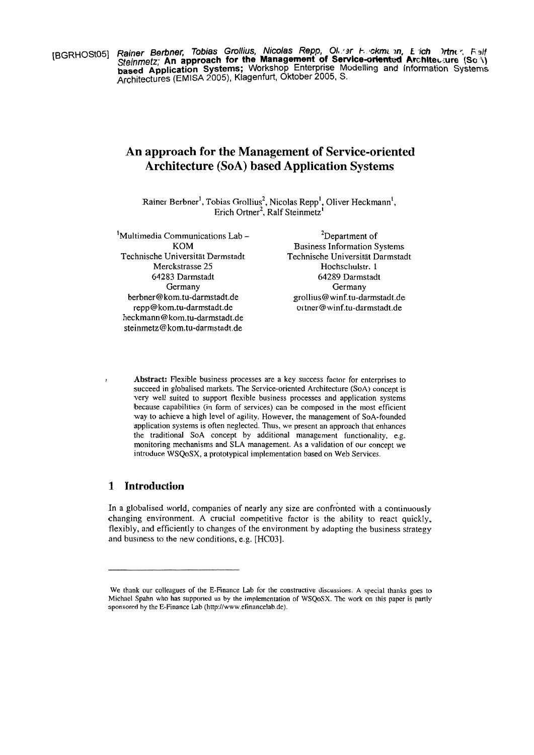**[BGRHOSt05] Rainer Berbner, Tobias Grollius, Nicolas Repp, Ol. 3r h ckmi in, E ich** *Inther, Falf* **Steinmetz; An approach for the Management of Service-oriented Architec.ure**  $(\text{Sc}\iota)$ **based Application Systems;** Workshop Enterprise Modelling and Information Systems Architectures (EMISA 2005), Klagenfurt, Oktober 2005, S.

# **An approach for the Management of Service-oriented Architecture (SoA) based Application Systems**

Rainer Berbner', Tobias Grollius<sup>2</sup>, Nicolas Repp', Oliver Heckmann<sup>1</sup>, Erich Ortner<sup>2</sup>, Ralf Steinmetz<sup>'</sup>

 $<sup>1</sup>$ Multimedia Communications Lab  $-$ </sup> KOM Technische Universität Darmstadt Merckstrasse 25 64283 Darmstadt Germany berbner@kom.tu-darmstadt.de repp@kom.tu-darmstadt.de heckmann@kom.tu-darmstadt.de steinmetz@ kom.tu-darmstadt.de

<sup>2</sup>Department of Business Information Systems Technische Universität Darmstadt Hochschulstr. 1 64289 Darmstadt Germany grollius@winf.tu-darmstadt.de ortner@winf.tu-darmstadt.de

**I Abstract:** Flexible business processes are a key success factor for enterprises to succeed in globalised markets. The Service-oriented Architecture (SoA) concept is very well suited to Support flexible business processes and application systems because capabilities (in form of services) can be composed in the most efficient way to achieve a high level of agility. However, the management of SoA-founded application systems is often neglected. Thus, we present an approach that enhances the traditional SoA concept by additional management functionality, e.g. monitoring mechanisrns and SLA management. As a validation of our concept we introduce WSQoSX, a prototypical implementation based on Web Services.

# **1 Introduction**

In a globalised world, companies of nearly any size are confronted with a continuously changing environrnent. **A** crucial competitive factor is the ability to react quickly, flexibly, and efficiently to changes of the environment by adapting the business strategy and business to the new conditions, e.g. [HC03].

We thank our colleagues of the E-Finance Lab for the constructive discussions. A special thanks goes to Michael Spahn who has supported us by the implementation of WSQoSX. The work on ihis paper is partly sponsored by the E-Finance Lab (http://www.efinancelab.de).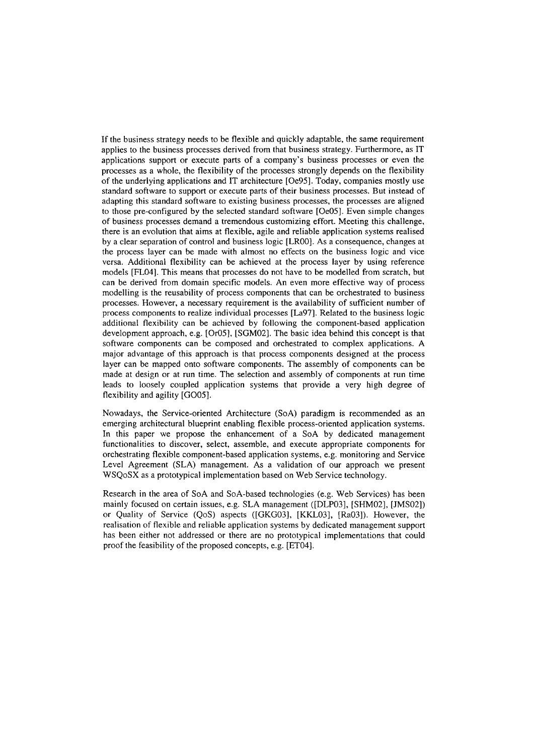If the business strategy needs to be flexible and quickly adaptable, the Same requirement applies to the business processes derived from that business strategy. Furthermore, as IT applications support or execute parts of a company's business processes or even the processes as a whole, the flexibility of the processes strongly depends on the flexibility of the underlying applications and IT architecture [Oe95]. Today, companies mostly use standard software to support or execute parts of their business processes. But instead of adapting this standard software to existing business processes, the processes are aligned to those pre-configured by the selected standard software [Oe05]. Even simple changes of business processes demand a tremendous customizing effort. Meeting this challenge, there is an evolution that aims at flexible, agile and reliable application systems realised by a clear separation of control and business logic [LROO]. As a consequence, changes at the process layer can be made with almost no effects on the business logic and vice versa. Additional flexibility can be achieved at the process layer by using reference models [FL04]. This means that processes do not have to be modelled from scratch, but can be derived from domain specific models. An even more effective way of process modelling is the reusability of process components that can be orchestrated to business processes. However, a necessary requirement is the availability of sufficient number of process components to realize individual processes [La97]. Related to the business logic additional flexibility can be achieved by following the component-based application development approach, e.g. [Or05], [SGM02]. The basic idea behind this concept is that software components can be composed and orchestrated to complex applications. A major advantage of this approach is that process components destgned at the process layer can be mapped onto software components. The assembly of components can be made at design or at run time. The selection and assembly of components at run time leads to loosely coupled application systems that provide a very high degree of flexibility and agility [G005].

Nowadays, the Service-oriented Architecture (SoA) paradigm is recommended as an emerging architectural blueprint enabling flexible process-oriented application systems. In this paper we propose the enhancement of a SoA by dedicated management functionalities to discover, select, assemble, and execute appropriate components for orchestrating flexible component-based application systems, e.g. monitoring and Service Level Agreement (SLA) management. As a validation of our approach we present WSQoSX as a prototypical implementation based on Web Service technology.

Research in the area of SoA and SoA-based technologies (e.g. Web Services) has been mainly focused on certain issues, e.g. SLA management ([DLP03], [SHM02], [JMS02]) or Quality of Service (QoS) aspects ([GKG03], [KKL03], [Ra03]). However, the realisation of flexible and reliable application systems by dedicated management support has been either not addressed or there are no prototypical implementations that could proof the feasibility of the proposed concepts, e.g. [ET04].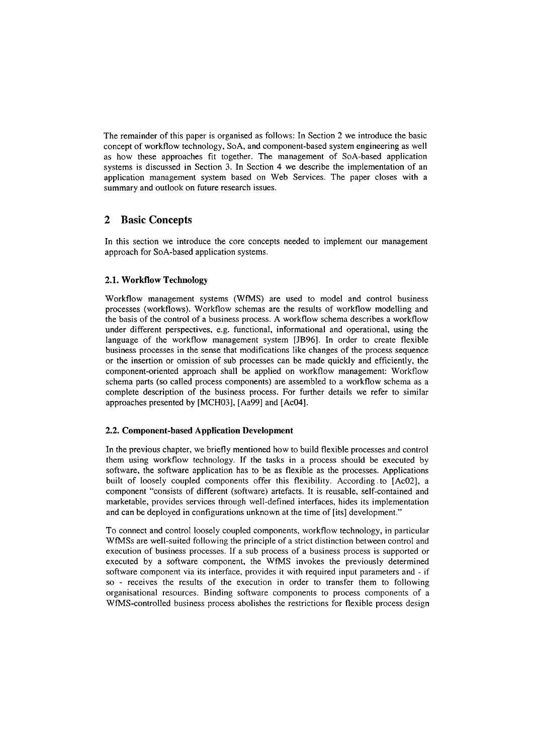The remainder of this paper is organised as follows: In Section 2 we introduce the basic concept of workflow technology, SoA, and component-based system engineering as well as how these approaches fit together. The management of SoA-based application systems is discussed in Section 3. In Section 4 we describe the implementation of an application management system based on Web Services. The paper closes with a summary and outlook on future research issues.

# **2 Basic Concepts**

In this section we introduce the core concepts needed to implement our management approach for SoA-based application systems.

# **2.1. Workflow Technology**

Workflow management systems (WfMS) are used to model and control business processes (workflows). Workflow schemas are the results of workflow modelling and the basis of the control of a business process. A workflow schema describes a workflow under different perspectives, e.g. functional, informational and operational, using the language of the workflow management system [JB96]. In order to create flexible business processes in the sense that modifications like changes of the process sequence or the insertion or omission of sub processes can be made quickly and efficiently, the component-oriented approach shall be applied on workflow management: Workflow schema parts (so called process components) are assembled to a workflow schema as a complete description of the business process. For further details we refer to similar approaches presented by [MCH03], [Aa99] and [Ac04].

# **2.2. Component-based Application Development**

In the previous chapter, we briefly mentioned how to build flexible processes and control them using workflow technology. If the tasks in a process should be executed by software, the software application has to be as flexible as the processes. Applications built of loosely coupled components offer this flexibility. According.to [Ac02], a component "consists of different (software) artefacts. It is reusable, self-contained and marketable, provides services through well-defined interfaces, hides its implementation and can be deployed in configurations unknown at the time of [its] development."

To connect and control loosely coupled components, workflow technology, in particular WfMSs are well-suited following the principle of a strict distinction between control and execution of business processes. If a sub process of a business process is supported or executed by a software component, the WfMS invokes the previously determined software component via its interface, provides it with required input parameters and - if so - receives the results of the execution in order to transfer them to following organisational resources. Binding software components to process components of a WfMS-controlled business process abolishes the restrictions for flexible process design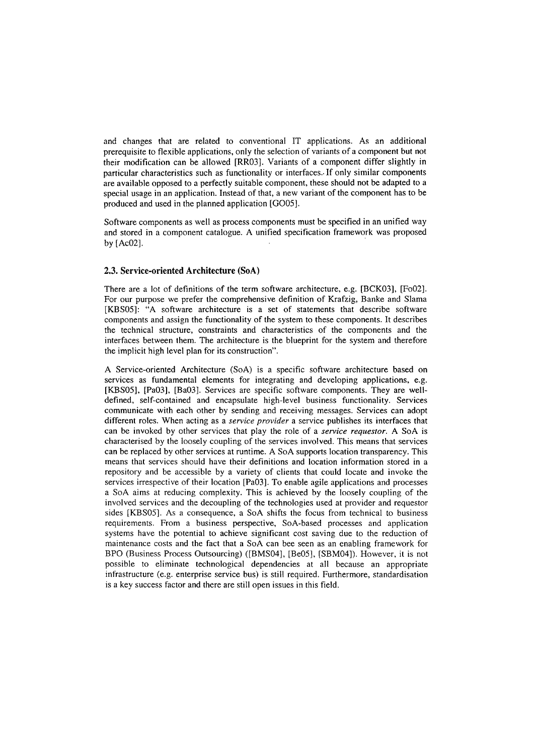and changes that are related to conventional IT applications. As an additional prerequisite to flexible applications, only the selection of variants of a component but not their modification can be allowed [RR03]. Variants of a component differ slightly in particular characteristics such as functionality or interfaces.. If only similar components are available opposed to a perfectly suitable component, these should not be adapted to a special usage in an application. Instead of that, a new variant of the component has to be produced and used in the planned application [G005].

Software components as weil as process components must be specified in an unified way and stored in a component catalogue. A unified specification framework was proposed by [Ac02].

#### **2.3. Service-oriented Architecture (SoA)**

There are a lot of definitions of the term software architecture, e.g. [BCK03], [Fo02]. For our purpose we prefer the comprehensive definition of Krafzig, Banke and Slama [KBS05]: "A software architecture is a set of statements that describe software components and assign the functionality of the system to these components. It describes the technical structure, constraints and characteristics of the components and the interfaces between them. The architecture is the blueprint for the system and therefore the implicit high level plan for its construction".

A Service-oriented Architecture (SoA) is a specific software architecture based on services as fundamental elements for integrating and developing applications, e.g. [KBSOS], [Pa03], [Ba03]. Services are specific software components. They are welldefined, self-contained and encapsulate high-level business functionality. Services comrnunicate with each other by sending and receiving messages. Services can adopt different roles. When acting as a *service provider* a service publishes its interfaces that can be invoked by other services that play the role of a *service requestor.* A SoA is characterised by the loosely coupling of the services involved. This means that services can be replaced by other services at runtime. A SoA Supports location transparency. This means that services should have their definitions and location information stored in a repository and be accessible by a variety of clients that could locate and invoke the services irrespective of their location [Pa03]. To enable agile applications and processes a SoA aims at reducing complexity. This is achieved by the loosely coupling of the involved services and the decoupling of the technologies used at provider and requestor sides [KBSOS]. As a consequence, a SoA shifts the focus from technical to business requirements. From a business perspective, SoA-based processes and application systems have the potential to achieve significant cost saving due to the reduction of maintenance costs and the fact that a SoA can bee Seen as an enabling framework for BPO (Business Process Outsourcing) ([BMS04], [Be05], [SBM04]). However, it is not possible to eliminate technological dependencies at all because an appropriate infrastructure (e.g. enterprise service bus) is still required. Furthermore, standardisation is a key success factor and there are still open issues in this field.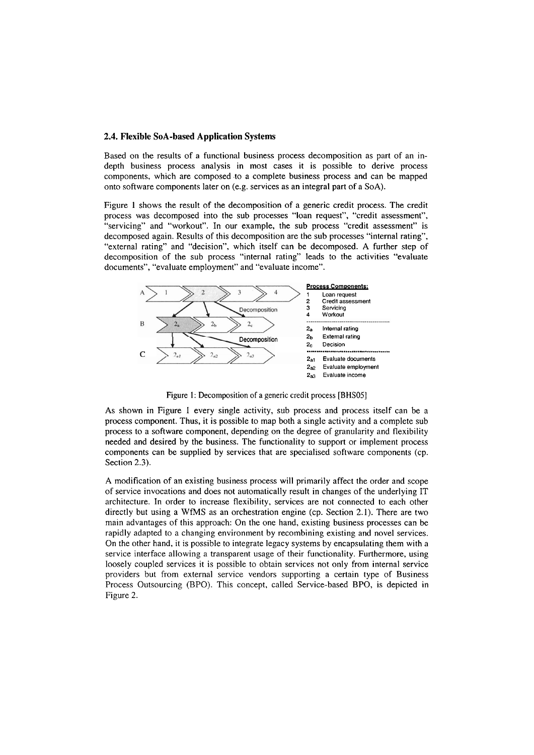#### **2.4. Flexible SoA-based Application Systems**

Based on the results of a functional business process decomposition as part of an indepth business process analysis in most cases it is possible to derive process components, which are composed .to a complete business process and can be mapped onto software components later on (e.g. services as an integral part of a SoA).

Figure 1 shows the result of the decomposition of a generic credit process. The credit process was decomposed into the sub processes "loan request", "credit assessment", "servicing" and "workout". In our example, the sub process "credit assessment" is decomposed again. Results of this decomposition are the sub processes "internal rating", "external rating" and "decision", which itself can be decomposed. **A** further step of decomposition of the sub process "internal rating" leads to the activities "evaluate documents", "evaluate employment" and "evaluate income".



Figure 1: Decomposition of a generic credit process [BHS05]

As shown in Figure 1 every single activity, sub process and process itself can be a process component. Thus, it is possible to map both a single activity and a complete sub process to a software component, depending on the degree of granularity and flexibility needed and desired by the business. The functionality to Support or implement process components can be supplied by services that are specialised software components (cp. Section 2.3).

A modification of an existing business process will primarily affect the order and scope of service invocations and does not automatically result in changes of the underlying IT architecture. In order to increase flexibility, services are not connected to each other directly but using a WfMS as an orchestration engine (cp. Section 2.1). There are two main advantages of this approach: On the one hand, existing business processes can be rapidly adapted to a changing environment by recombining existing and novel services. On the other hand, it is possible to integrate legacy systems by encapsulating them with a service interface allowing a transparent usage of their functionality. Furthermore, using loosely coupled services it is possible to obtain services not only from internal service providers but from external service vendors supporting a certain type of Business Process Outsourcing (BPO). This concept, called Service-based BPO, is depicted in Figure 2.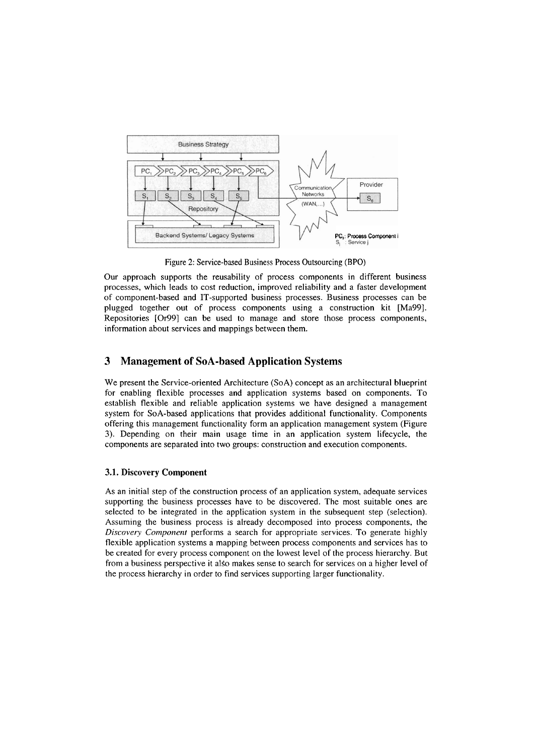

Figure 2: Service-based Business Process Outsourcing (BPO)

Our approach supports the reusability of process components in different business processes, which leads to cost reduction, improved reliability and a faster development of component-based and IT-supported business processes. Business processes can be plugged together out of process components using a construction kit [Ma99]. Repositories [Or99] can be used to manage and store those process components, information about services and mappings between them.

# **3 Management of SoA-based Application Systems**

We present the Service-oriented Architecture (SoA) concept as an architectural blueprint for enabling flexible processes and application systems based on components. To establish flexible and reliable application systems we have designed a management system for SoA-based applications that provides additional functionality. Components offering this management functionality form an application management system (Figure 3). Depending on their main usage time in an application system lifecycle, the components are separated into two groups: construction and execution components.

#### **3.1. Discovery Component**

As an initial step of the construction process of an application system, adequate services supporting the business processes have to be discovered. The most suitable ones are selected to be integrated in the application system in the subsequent step (selection). Assuming the business process is already decomposed into process components, the *Discovery Component* performs a search for appropriate services. To generate highly flexible application systems a mapping between process components and services has to be created for every process component on the lowest level of the process hierarchy. But from a business perspective it alSo makes sense to search for services on a higher level of the process hierarchy in order to find services supporting larger functionality.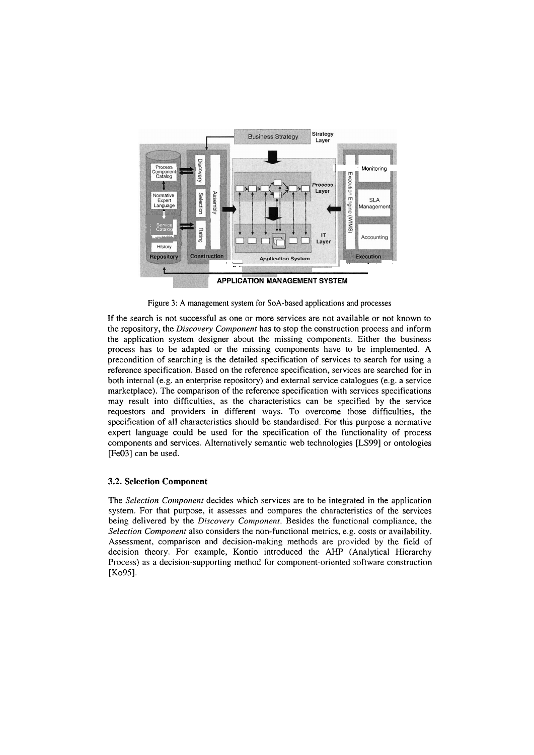

Figure 3: A management system for SoA-based applications and processes

If the search is not successful as one or more services are not available or not known to the repository, the *Discovery Component* has to stop the construction process and inform the application system designer about the missing components. Either the business process has to be adapted or the missing components have to be implemented. A precondition of searching is the detailed specification of services to search for using a reference specification. Based on the reference specification, services are searched for in both internal (e-g. an enterprise repository) and external service catalogues (e.g. a service marketplace). The comparison of the reference specification with services specifications may result into difficulties, as the characteristics can be specified by the service requestors and providers in different ways. To overcome those difficulties, the specification of all characteristics should be standardised. For this purpose a normative expert language could be used for the specification of the functionality of process components and services. Alternatively semantic web technologies **[LS99]** or ontologies [Fe03] can be used.

### **3.2. Selection Component**

The *Selection Component* decides which services are to be integrated in the application system. For that purpose, it assesses and compares the characteristics of the services being delivered by the *Discovery Component*. Besides the functional compliance, the *Selection Component* also considers the non-functional metrics, e.g. costs or availability. Assessment, comparison and decision-making methods are provided by' the field of decision theory. For example, Kontio introduced the **AHP** (Analytical Hierarchy Process) as a decision-supporting method for component-oriented software construction [Ko95].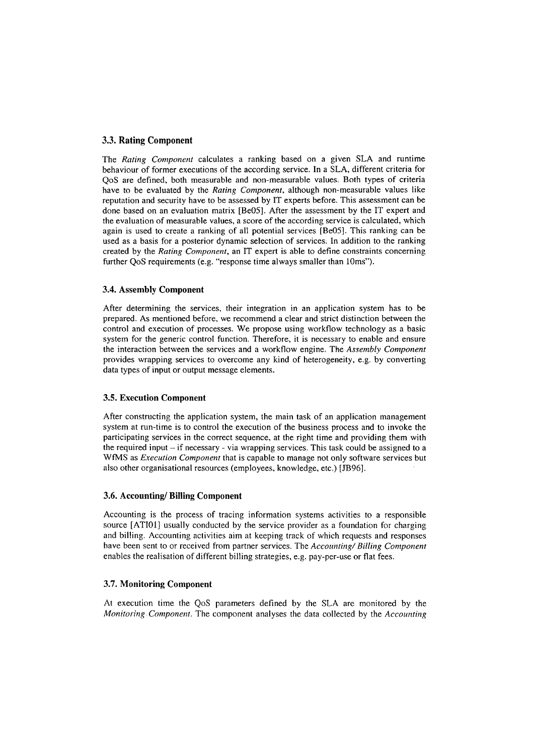### **3.3. Rating Component**

The *Rating Coniponent* calculates a ranking based on a given SLA and runtime behaviour of former executions of the according service. In a SLA, different criteria for QoS are defined, both measurable and non-measurable values. Both types of criteria have to be evaluated by the *Rating Component*, although non-measurable values like reputation and security have to be assessed by IT experts before. This assessment can be done based on an evaluation matrix [Be05]. After the assessment by the IT expert and the evaluation of measurable values, a score of the according service is calculated, which again is used to create a ranking of all potential services [Be05]. This ranking can be used as a basis for a posterior dynamic selection of services. In addition to the ranking created by the *Rating Conzponent,* an IT expert is able to define constraints concerning further QoS requirements (e.g. "response time always smaller than 10ms").

#### **3.4. Assembly Component**

After determining the services, their integration in an application system has to be prepared. As mentioned before, we recommend a clear and strict distinction between the control and execution of processes. We propose using workflow technology as a basic system for the generic control function. Therefore, it is necessary to enable and ensure the interaction between the services and a workflow engine. The *Assembly Conlporzent*  provides wrapping services to overcome any kind of heterogeneity, e.g. by converting data types of input or output message elements.

### **3.5. Execution Component**

After constructing the application System, the main task of an application management system at run-time is to control the execution of the business process and to invoke the participating services in the correct sequence, at the right time and providing them with the required input  $-i$  f necessary - via wrapping services. This task could be assigned to a WfMS as *Execution Component* that is capable to manage not only software services but also other organisational resources (employees, knowledge, etc.) [JB96].

#### **3.6. Accounting/ Billing Component**

Accounting is the process of tracing information Systems activities to a responsible source [ATIOI] usually conducted by the service provider as a foundation for charging and billing. Accounting activities aim at keeping track of which requests and responses have been sent to or received from partner services. The *Accounting/ Billing Component* enables the realisation of different billing strategies, e.g. pay-per-use or flat fees.

#### **3.7. Monitoring Component**

At execution time the QoS parameters defined by the SLA are monitored by the *Monitoring Component.* The component analyses the data collected by the *Accounting*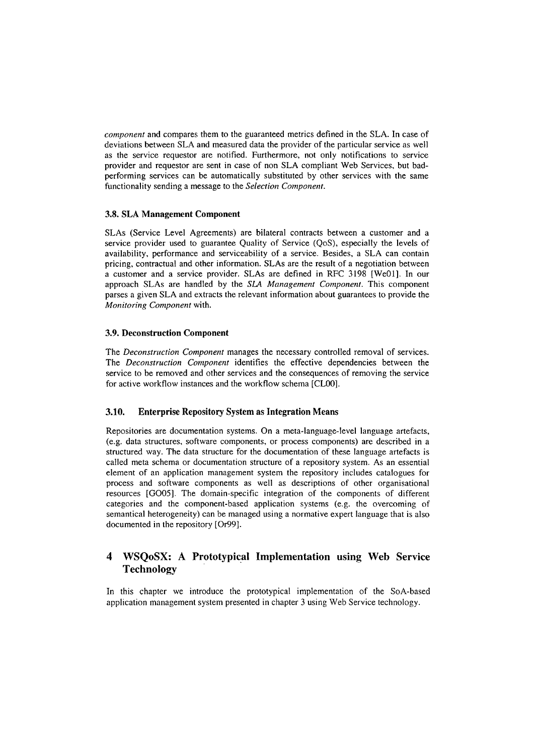*component* and compares them to the guaranteed metrics defined in the SLA. In case of deviations between SLA and measured data the provider of the particular service as well as the service requestor are notified. Furthermore, not only notifications to service provider and requestor are sent in case of non SLA cornpliant Web Services, but badperforming services can be automatically substituted by other services with the Same functionality sending a message to the *Selection Component*.

# **3.8. SLA Management Component**

SLAs (Service Level Agreements) are bilateral contracts between a customer and a service provider used to guarantee Quality of Service (QoS), especially the levels of availability, performance and serviceability of a service. Besides, a SLA can contain pricing, contractual and other inforrnation. SLAs are the result of a negotiation between a customer and a service provider. SLAs are defined in RFC 3198 [WeOl]. In our approach SLAs are handled by the SLA Management Component. This component parses a given SLA and extracts the relevant information about guarantees to provide the *Monitoring Component* with.

# **3.9. Deconstruction Component**

The *Deconstricction Component* manages the necessary controlled removal of services. The *Deconstruction Conzponent* identifies the effective dependencies between the service to be removed and other services and the consequences of rernoving the service for active workflow instances and the workflow schema [CLOO].

### **3.10. Enterprise Repository System as Integration Means**

Repositories are documentation systems. On a meta-language-level language artefacts, (e.g. data structures, software components, or process components) are described in a structured way. The data structure for the documentation of these language artefacts is called meta schema or documentation structure of a repository system. As an essential elernent of an application management system the repository includes catalogues for process and software components as well as descriptions of other organisational resources [G005]. The domain-specific integration of the components of different categories and the component-based application systems (e.g. the overcoming of sernantical heterogeneity) can be managed using a normative expert language that is also documented in the repository [Or99].

# **4 WSQoSX: A Prototypical Implementation using Web Service Technology**

In this chapter we introduce the prototypical implementation of the SoA-based application management system presented in chapter 3 using Web Service technology.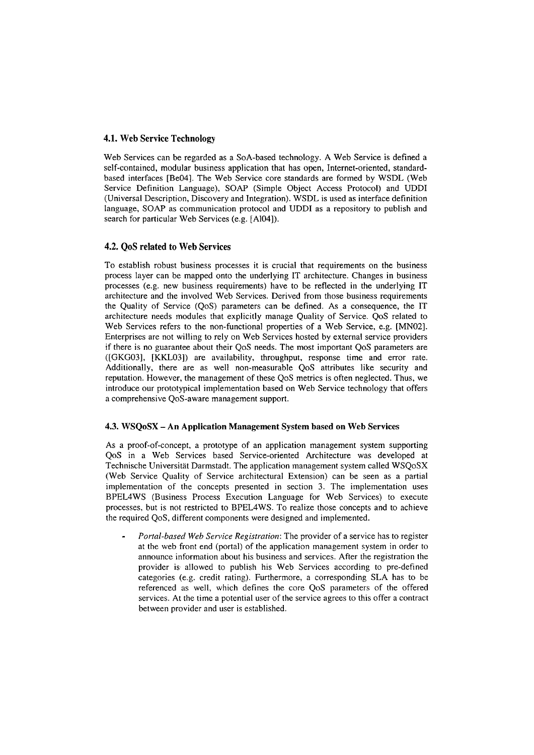### **4.1. Web Service Technology**

Web Services can be regarded as a SoA-based technology. A Web Service is defined a self-contained, modular business application that has open, Internet-oriented, standardbased interfaces [Be04]. The Web Service core standards are formed by WSDL (Web Service Definition Language), SOAP (Simple Object Access Protocol) and UDDI (Universal Description, Discovery and Integration). WSDL is used as interface definition language, SOAP as communication protocol and UDDI as a repository to publish and search for particular Web Services (e.g. [A104]).

### **4.2. QoS related to Web Services**

To establish robust business processes it is crucial that requirements on the business process layer can be mapped onto the underlying IT architecture. Changes in business processes (e.g. new business requirements) have to be reflected in the underlying IT architecture and the involved Web Services. Derived frorn those business requirements the Quality of Service (QoS) parameters can be defined. As a consequence, the IT architecture needs modules that explicitly manage Quality of Service. QoS related to Web Services refers to the non-functional properties of a Web Service, e.g. [MN02]. Enterprises are not willing to rely on Web Services hosted by external service providers if there is no guarantee about their QoS needs. The most important QoS parameters are ([GKG03], [KKL03]) are availability, throughput, response time and error rate. Additionally, there are as well non-measurable QoS attributes like security and reputation. However, the management of these QoS metrics is often neglected. Thus, we introduce our prototypical implementation based on Web Service technology that offers a comprehensive QoS-aware management Support.

### **4.3. WSQoSX -An Application Management System based on Web Services**

As a proof-of-concept, a prototype of an application management system supporting QoS in a Web Services based Service-oriented Architecture was developed at Technische Universität Darmstadt. The application management system called WSOoSX (Web Service Quality of Service architectural Extension) can be Seen as a partial implementation of the concepts presented in section **3.** The implementation uses BPEL4WS (Business Process Execution Language for Web Services) to execute processes, but is not restricted to BPEL4WS. To realize those concepts and to achieve the required QoS, different components were designed and implemented.

*Portal-based Web Service Registration:* The provider of a service has to register at the web front end (portal) of the application management system in order to announce information about his business and services. After the registration the provider is- allowed to publish his Web Services according to pre-defined categories (e.g. credit rating). Furthermore, a corresponding SLA has to be referenced as well, which defines the core QoS parameters of the offered services. At the time a potential user of the service agrees to this offer a contract between provider and user is established.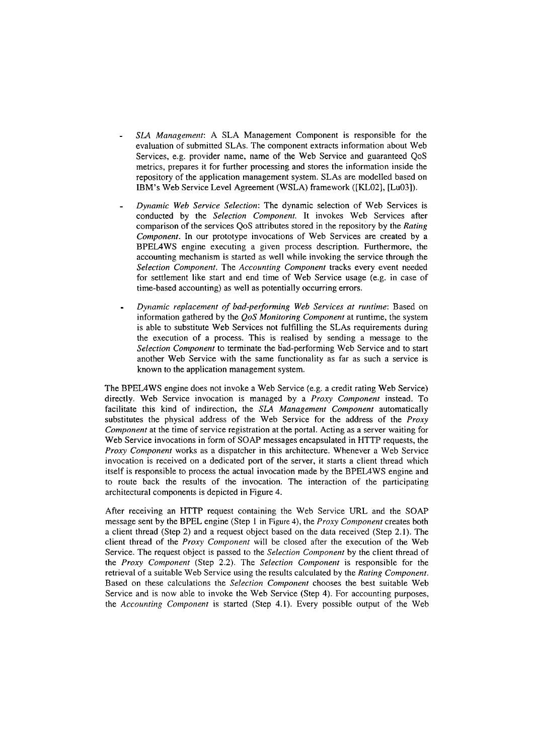- *SLA Management:* A SLA Management Component is responsible for the evaluation of submitted SLAs. The component extracts information about Web Services, e.g. provider name, name of the Web Service and guaranteed QoS metrics, prepares it for further processing and stores the information inside the repository of the application management system. SLAs are modelled based on LBM's Web Service Level Agreement (WSLA) framework ([KL02], [Lu03]).
- *Dynarnic Web Service Selection:* The dynamic selection of Web Services is conducted by the *Selection Component.* It invokes Web Services after comparison of the services QoS attributes stored in the repository by the *Rating Component*. In our prototype invocations of Web Services are created by a BPEL4WS engine executing a given process description. Furthermore, the accounting mechanism is started as well while invoking the service through the *Selection Component*. The *Accounting Component* tracks every event needed for settlement like start and end time of Web Service usage (e.g. in case of time-based accounting) as well as potentially occurring errors.
- *Dynamic replacement of bad-performing Web Services at runtime: Based on* information gathered by the *QoS Monitoring Component* at runtime, the system is able to substitute Web Services not fulfilling the SLAs requirements during the execution of a process. This is realised by sending a message to the *Selection Component* to terminate the 6ad-performing Web Service and to start another Web Service with the same functionality as far as such a service is known to the application management system.

The BPEL4WS engine does not invoke a Web Service (e.g. a credit rating Web Service) directly. Web Service invocation is managed by a *Proxy Component* instead. To facilitate this kind of indirection, the *SL4 Management Component* automatically substitutes the physical address of the Web Service for the address of the *Proxy Component* at the time of service registration at the portal. Acting as a server waiting for Web Service invocations in form of SOAP messages encapsulated in HTTP requests, the *Proxy Component* works as a dispatcher in this architecture. Whenever a Web Service invocation is received on a dedicated port of the server, it starts a client thread which itself is responsible to process the actual invocation made by the BPEL4WS engine and to route back the results of the invocation. The interaction of the participating architectural components is depicted in Figure 4.

After receiving an HTTP request containing the Web Service URL and the SOAP message sent by the BPEL engine (Step I in Figure 4), the *Proxy Coniponent* creates both **a** client thread (Step 2) and a request object based on the data received (Step 2.1). The client thread of the *Proxy Cornponent* will be closed after the execution of the Web Service. The request object is passed to the *Selection Component* by the client thread of the *Proxy Component* (Step 2.2). The *Selection Component* is responsible for the retrieval of a suitable Web Service using the results calculated by the *Rating Component.*  Based on these calculations the *Selection Component* chooses the best suitable Web Service and is now able to invoke the Web Service (Step 4). For accounting purposes, the *Accounting Component* is started (Step 4.1). Every possible output of the Web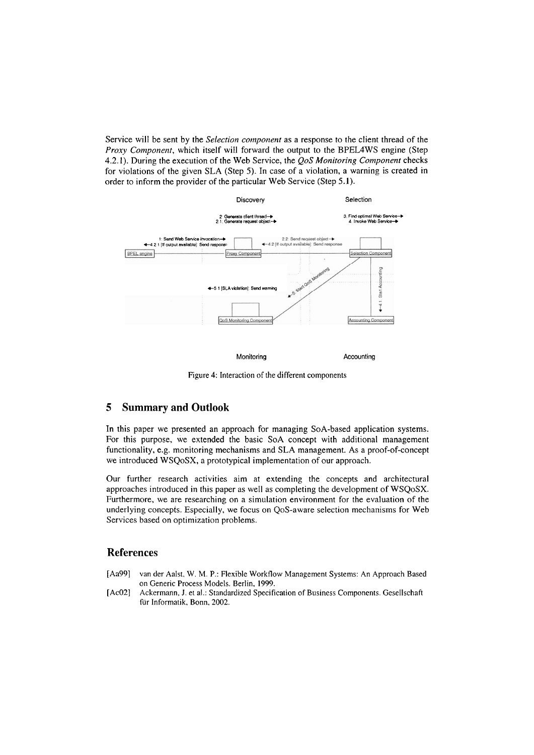Service will be sent by the *Selection cornponent* as a response to the client thread of the *Proxy Component,* which itself will forward the output to the BPEL4WS engine (Step 4.2.1). During the execution of the Web Service, the *QoS Monitoring Component* checks for violations of the given SLA (Step 5). In case of a violation, a warning is created in order to inform the provider of the particular Web Service (Step 5.1).



Monitoring **Accounting Accounting** 

Figure 4: Interaction of the different components

# **5 Summary and Outlook**

In this paper we presented an approach for managing SoA-based application systems. For this purpose, we extended the basic SoA concept with additional management functionality, e.g. monitoring mechanisms and SLA management. As a proof-of-concept we introduced WSQoSX, a prototypical implementation of our approach.

Our further research activities aim at extending the concepts and architectural approaches introduced in this paper as well as cornpleting the developrnent of WSQoSX. Furthermore, we are researching on a simulation environment for the evaluation of the underlying concepis. Especially, we focus on QoS-aware selection rnechanisms for Web Services based on optimization problems.

# **References**

- [Aa99] van der Aalst. W. M. P.: Flexible Workflow Management Systems: An Approach Based on Generic Process Models. Berlin, 1999.
- [Ac02] Ackermann, J. et al.: Standardized Specification of Business Components. Gesellschaft für Informatik. Bonn, 2002.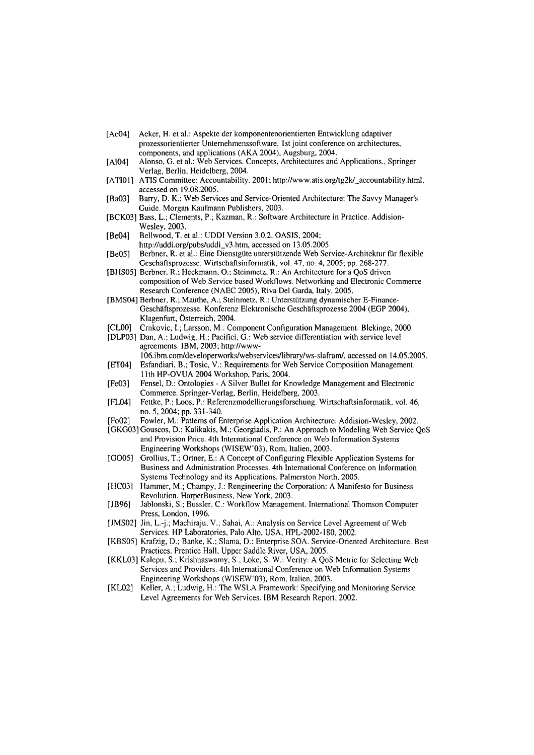- [Ac041 Acker, H. et al.: Aspekte der komponentenorientierten Entwicklung adaptiver prozessorientierter Unternehmenssoftware. Ist joint conference on architectures, components, and applications (AKA 2004), Augsburg, 2004.
- [Al04] Alonso, G. et al.: Web Services. Concepts, Architectures and Applications., Springer Verlag, Berlin, Heidelberg, 2004.
- [ATI01] ATIS Committee: Accountability. 2001; http://www.atis.org/tg2k/\_accountability.html, accessed on 19.08.2005.
- [Ba031 Barry, D. K.: Web Services and Service-Oriented Architecture: The Savvy Manager's Guide. Morgan Kaufmann Publishers, 2003.
- [BCK03] Bass. L.; Clements, P.; Kazman, R.: Software Architecture in Practice. Addision-Wesley, 2003.
- [Be04] Bellwood, T. et al.: UDDI Version 3.0.2. OASIS, 2004; **http://uddi.org/pubs/uddi-v3.htm,** accessed on 13.05.2005.
- [Be051 Berbner, R. et al.: Eine Dienstgüte unterstützende Web Service-Architektur für flexible Geschäftsprozesse. Wirtschaftsinformatik, vol. 47, no. 4,2005; pp. 268-277.
- [BHS05] Berbner, R.; Heckmann, O.; Steinmetz, R.: An Architecture for a QoS driven composition of Web Service based Workflows. Networking and Electronic Commerce Research Conference (NAEC 2005). Riva Del Garda, Italy, 2005.
- [BMS04] Berbner, R.; Mauthe, A.; Steinmetz, R.: Unterstützung dynamischer E-Finance-Geschäftsprozesse. Konferenz Elektronische Geschäfisprozesse 2004 (EGP 2004). Klagenfurt, Österreich, 2004.
- [CLOO] Cmkovic, 1.; Larsson, M.: Component Configuration Management. Blekinge, 2000.
- [DLP03] Dan, A.; Ludwig, H.; Pacifici, G.: Web service differentiation with service level agreements. IBM, 2003; http://www-106.ibm.com/developerworks/webservices/library/ws-slafram/, accessed on 14.05.2005.
- [ET04] Esfandiari, B.; Tosic, V.: Requirements for Web Service Composition Management. I l th HP-OVUA 2004 Workshop, Paris, 2004.
- [Fe031 Fensel, D.: Ontologies A Silver Bullet for Knowledge Management and Electronic Commerce. Springer-Verlag, Berlin, Heidelberg, 2003.
- [FL04] Fettke, P.; Loos, P.: Referenzmodellierungsforschung. Wirtschaftsinforrnatik, vol. 46, no. 5,2004; pp. 33 1-340.
- [Fo02] Fowler, M.: Patterns of Enterprise Application Architecture. Addision-Wesley, 2002.
- [GKG03] Gouscos, D.; Kalikakis, M.; Georgiadis, P.: An Approach to Modeling Web Service QoS and Provision Price. 4th International Conference on Web Information Systems Engineering Workshops (WISEW'03), Rom, Italien, 2003.
- [GO05] Grollius, T.; Ortner, E.: A Concept of Configuring Flexible Application Systems for Business and Administration Processes. 4th International Conference on Information Systems Technology and its Applications, Palmerston North, 2005.
- [HC03] Hammer, M.; Champy, J.: Rengineering the Corporation: A Manifesto for Business Revolution. HarperBusiness, New York, 2003.
- [JB96] Jablonski, S.; Bussler, C.: Workflow Management. International Thomson Computer Press, London, 1996.
- [JMS02] Jin, L.-j.; Machiraju, V.; Sahai, A.: Analysis on Service Level Agreement of Web Services. HP Laboratories, Palo Alto, USA, HPL-2002-180, 2002.
- [KBSOS] Krafzig, D.; Banke, K.; Slarna, D.: Enterprise SOA. Service-Oriented Architecture. Best Practices. Prentice Hall, Upper Saddle River, USA, 2005.
- [KKL03] Kalepu, S.; Krishnaswamy, S.; Loke, S. W.: Verity: A QoS Metric for Selecting Web Services and Providers. 4th International Conference on Web Information Systems Engineering Workshops (WISEW'03). Rom, Italien. 2003.
- [KLO21 Keller, A.; Ludwig, H.: The WSLA Framework: Specifying and Monitoring Service Level Agreements for Web Services. IBM Research Report, 2002.